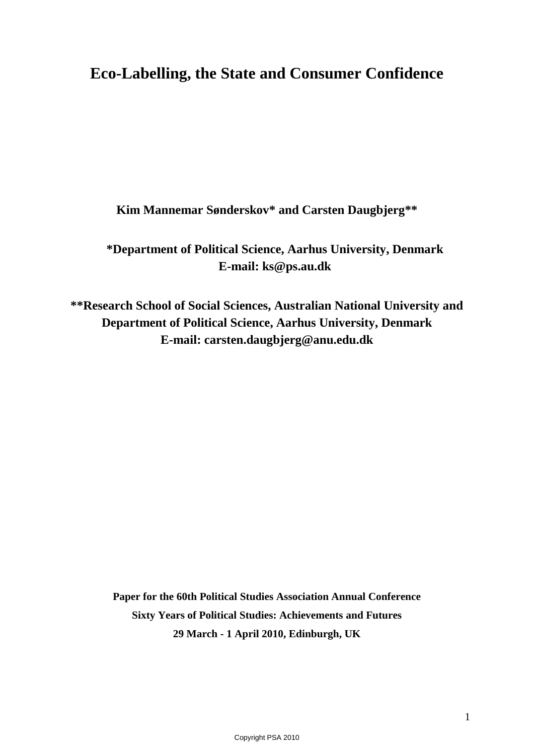# **Eco-Labelling, the State and Consumer Confidence**

**Kim Mannemar Sønderskov\* and Carsten Daugbjerg\*\***

**\*Department of Political Science, Aarhus University, Denmark E-mail: ks@ps.au.dk**

**\*\*Research School of Social Sciences, Australian National University and Department of Political Science, Aarhus University, Denmark E-mail: carsten.daugbjerg@anu.edu.dk**

> **Paper for the 60th Political Studies Association Annual Conference Sixty Years of Political Studies: Achievements and Futures 29 March - 1 April 2010, Edinburgh, UK**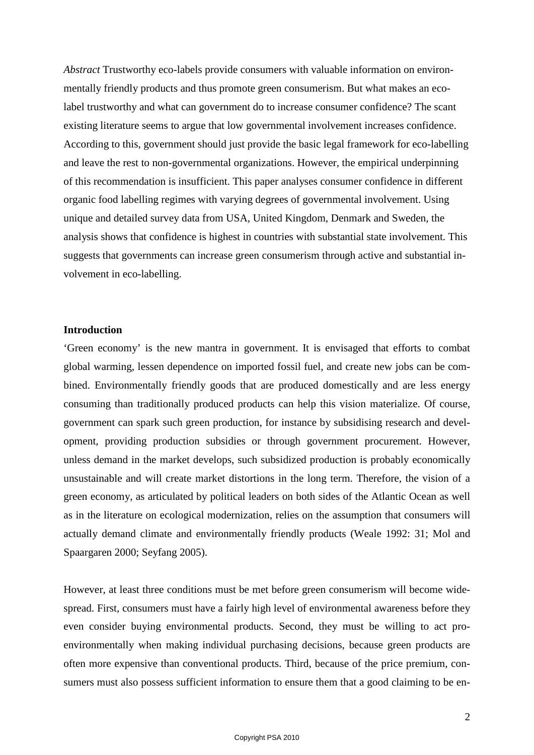*Abstract* Trustworthy eco-labels provide consumers with valuable information on environmentally friendly products and thus promote green consumerism. But what makes an ecolabel trustworthy and what can government do to increase consumer confidence? The scant existing literature seems to argue that low governmental involvement increases confidence. According to this, government should just provide the basic legal framework for eco-labelling and leave the rest to non-governmental organizations. However, the empirical underpinning of this recommendation is insufficient. This paper analyses consumer confidence in different organic food labelling regimes with varying degrees of governmental involvement. Using unique and detailed survey data from USA, United Kingdom, Denmark and Sweden, the analysis shows that confidence is highest in countries with substantial state involvement. This suggests that governments can increase green consumerism through active and substantial involvement in eco-labelling.

## **Introduction**

'Green economy' is the new mantra in government. It is envisaged that efforts to combat global warming, lessen dependence on imported fossil fuel, and create new jobs can be combined. Environmentally friendly goods that are produced domestically and are less energy consuming than traditionally produced products can help this vision materialize. Of course, government can spark such green production, for instance by subsidising research and development, providing production subsidies or through government procurement. However, unless demand in the market develops, such subsidized production is probably economically unsustainable and will create market distortions in the long term. Therefore, the vision of a green economy, as articulated by political leaders on both sides of the Atlantic Ocean as well as in the literature on ecological modernization, relies on the assumption that consumers will actually demand climate and environmentally friendly products (Weale 1992: 31; Mol and Spaargaren 2000; Seyfang 2005).

However, at least three conditions must be met before green consumerism will become widespread. First, consumers must have a fairly high level of environmental awareness before they even consider buying environmental products. Second, they must be willing to act proenvironmentally when making individual purchasing decisions, because green products are often more expensive than conventional products. Third, because of the price premium, consumers must also possess sufficient information to ensure them that a good claiming to be en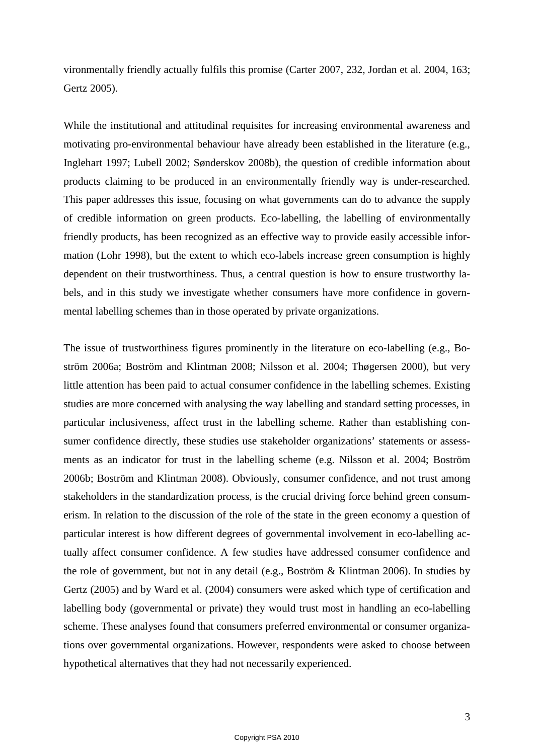vironmentally friendly actually fulfils this promise (Carter 2007, 232, Jordan et al. 2004, 163; Gertz 2005).

While the institutional and attitudinal requisites for increasing environmental awareness and motivating pro-environmental behaviour have already been established in the literature (e.g., Inglehart 1997; Lubell 2002; Sønderskov 2008b), the question of credible information about products claiming to be produced in an environmentally friendly way is under-researched. This paper addresses this issue, focusing on what governments can do to advance the supply of credible information on green products. Eco-labelling, the labelling of environmentally friendly products, has been recognized as an effective way to provide easily accessible information (Lohr 1998), but the extent to which eco-labels increase green consumption is highly dependent on their trustworthiness. Thus, a central question is how to ensure trustworthy labels, and in this study we investigate whether consumers have more confidence in governmental labelling schemes than in those operated by private organizations.

The issue of trustworthiness figures prominently in the literature on eco-labelling (e.g., Boström 2006a; Boström and Klintman 2008; Nilsson et al. 2004; Thøgersen 2000), but very little attention has been paid to actual consumer confidence in the labelling schemes. Existing studies are more concerned with analysing the way labelling and standard setting processes, in particular inclusiveness, affect trust in the labelling scheme. Rather than establishing consumer confidence directly, these studies use stakeholder organizations' statements or assessments as an indicator for trust in the labelling scheme (e.g. Nilsson et al. 2004; Boström 2006b; Boström and Klintman 2008). Obviously, consumer confidence, and not trust among stakeholders in the standardization process, is the crucial driving force behind green consumerism. In relation to the discussion of the role of the state in the green economy a question of particular interest is how different degrees of governmental involvement in eco-labelling actually affect consumer confidence. A few studies have addressed consumer confidence and the role of government, but not in any detail (e.g., Boström & Klintman 2006). In studies by Gertz (2005) and by Ward et al. (2004) consumers were asked which type of certification and labelling body (governmental or private) they would trust most in handling an eco-labelling scheme. These analyses found that consumers preferred environmental or consumer organizations over governmental organizations. However, respondents were asked to choose between hypothetical alternatives that they had not necessarily experienced.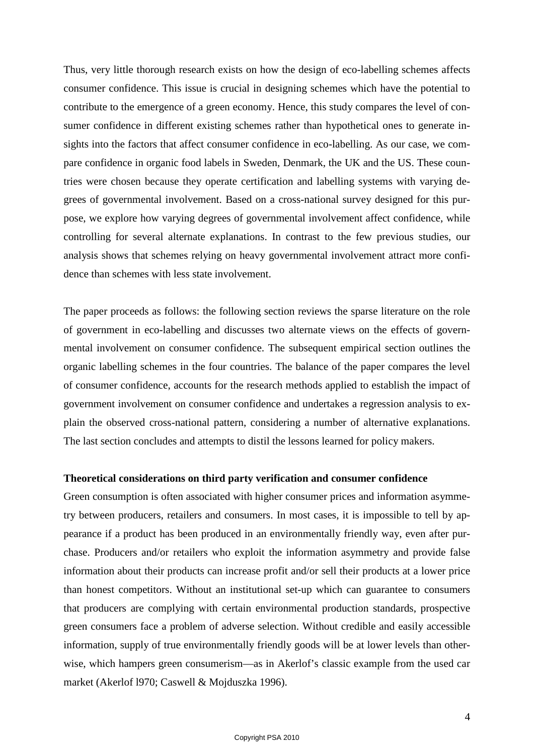Thus, very little thorough research exists on how the design of eco-labelling schemes affects consumer confidence. This issue is crucial in designing schemes which have the potential to contribute to the emergence of a green economy. Hence, this study compares the level of consumer confidence in different existing schemes rather than hypothetical ones to generate insights into the factors that affect consumer confidence in eco-labelling. As our case, we compare confidence in organic food labels in Sweden, Denmark, the UK and the US. These countries were chosen because they operate certification and labelling systems with varying degrees of governmental involvement. Based on a cross-national survey designed for this purpose, we explore how varying degrees of governmental involvement affect confidence, while controlling for several alternate explanations. In contrast to the few previous studies, our analysis shows that schemes relying on heavy governmental involvement attract more confidence than schemes with less state involvement.

The paper proceeds as follows: the following section reviews the sparse literature on the role of government in eco-labelling and discusses two alternate views on the effects of governmental involvement on consumer confidence. The subsequent empirical section outlines the organic labelling schemes in the four countries. The balance of the paper compares the level of consumer confidence, accounts for the research methods applied to establish the impact of government involvement on consumer confidence and undertakes a regression analysis to explain the observed cross-national pattern, considering a number of alternative explanations. The last section concludes and attempts to distil the lessons learned for policy makers.

#### **Theoretical considerations on third party verification and consumer confidence**

Green consumption is often associated with higher consumer prices and information asymmetry between producers, retailers and consumers. In most cases, it is impossible to tell by appearance if a product has been produced in an environmentally friendly way, even after purchase. Producers and/or retailers who exploit the information asymmetry and provide false information about their products can increase profit and/or sell their products at a lower price than honest competitors. Without an institutional set-up which can guarantee to consumers that producers are complying with certain environmental production standards, prospective green consumers face a problem of adverse selection. Without credible and easily accessible information, supply of true environmentally friendly goods will be at lower levels than otherwise, which hampers green consumerism—as in Akerlof's classic example from the used car market (Akerlof l970; Caswell & Mojduszka 1996).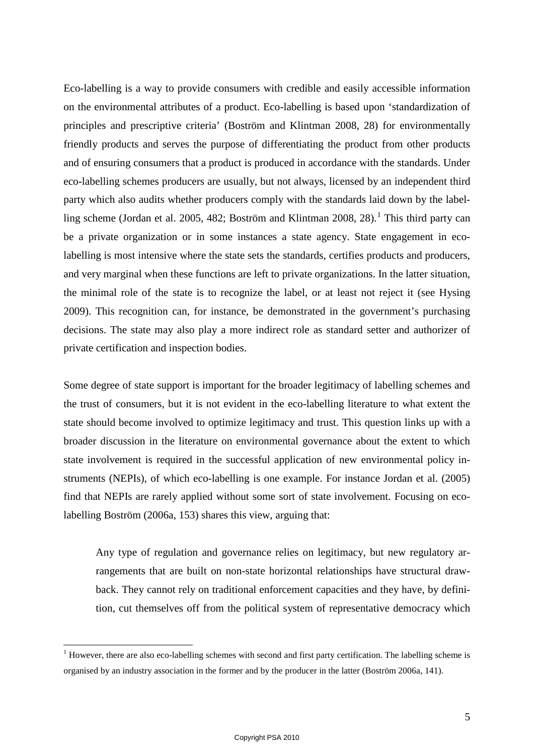Eco-labelling is a way to provide consumers with credible and easily accessible information on the environmental attributes of a product. Eco-labelling is based upon 'standardization of principles and prescriptive criteria' (Boström and Klintman 2008, 28) for environmentally friendly products and serves the purpose of differentiating the product from other products and of ensuring consumers that a product is produced in accordance with the standards. Under eco-labelling schemes producers are usually, but not always, licensed by an independent third party which also audits whether producers comply with the standards laid down by the label-ling scheme (Jordan et al. 2005, 482; Boström and Klintman 2008, 28).<sup>[1](#page-4-0)</sup> This third party can be a private organization or in some instances a state agency. State engagement in ecolabelling is most intensive where the state sets the standards, certifies products and producers, and very marginal when these functions are left to private organizations. In the latter situation, the minimal role of the state is to recognize the label, or at least not reject it (see Hysing 2009). This recognition can, for instance, be demonstrated in the government's purchasing decisions. The state may also play a more indirect role as standard setter and authorizer of private certification and inspection bodies.

Some degree of state support is important for the broader legitimacy of labelling schemes and the trust of consumers, but it is not evident in the eco-labelling literature to what extent the state should become involved to optimize legitimacy and trust. This question links up with a broader discussion in the literature on environmental governance about the extent to which state involvement is required in the successful application of new environmental policy instruments (NEPIs), of which eco-labelling is one example. For instance Jordan et al. (2005) find that NEPIs are rarely applied without some sort of state involvement. Focusing on ecolabelling Boström (2006a, 153) shares this view, arguing that:

Any type of regulation and governance relies on legitimacy, but new regulatory arrangements that are built on non-state horizontal relationships have structural drawback. They cannot rely on traditional enforcement capacities and they have, by definition, cut themselves off from the political system of representative democracy which

<u>.</u>

<span id="page-4-0"></span> $<sup>1</sup>$  However, there are also eco-labelling schemes with second and first party certification. The labelling scheme is</sup> organised by an industry association in the former and by the producer in the latter (Boström 2006a, 141).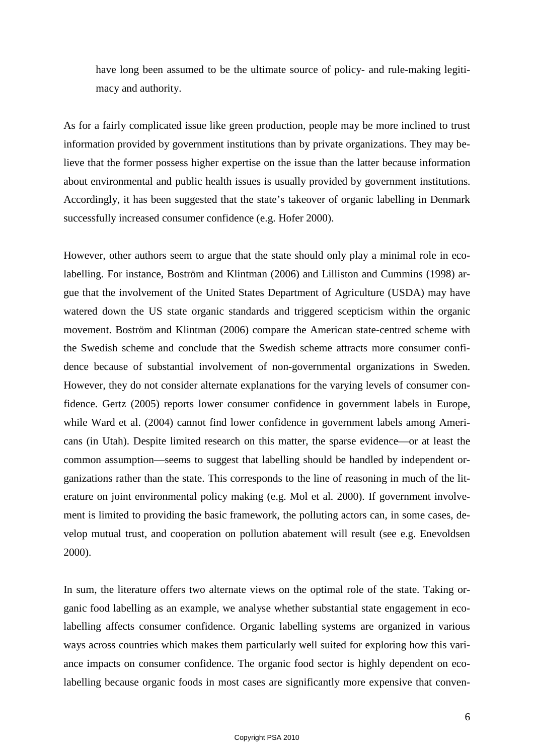have long been assumed to be the ultimate source of policy- and rule-making legitimacy and authority.

As for a fairly complicated issue like green production, people may be more inclined to trust information provided by government institutions than by private organizations. They may believe that the former possess higher expertise on the issue than the latter because information about environmental and public health issues is usually provided by government institutions. Accordingly, it has been suggested that the state's takeover of organic labelling in Denmark successfully increased consumer confidence (e.g. Hofer 2000).

However, other authors seem to argue that the state should only play a minimal role in ecolabelling. For instance, Boström and Klintman (2006) and Lilliston and Cummins (1998) argue that the involvement of the United States Department of Agriculture (USDA) may have watered down the US state organic standards and triggered scepticism within the organic movement. Boström and Klintman (2006) compare the American state-centred scheme with the Swedish scheme and conclude that the Swedish scheme attracts more consumer confidence because of substantial involvement of non-governmental organizations in Sweden. However, they do not consider alternate explanations for the varying levels of consumer confidence. Gertz (2005) reports lower consumer confidence in government labels in Europe, while Ward et al. (2004) cannot find lower confidence in government labels among Americans (in Utah). Despite limited research on this matter, the sparse evidence—or at least the common assumption—seems to suggest that labelling should be handled by independent organizations rather than the state. This corresponds to the line of reasoning in much of the literature on joint environmental policy making (e.g. Mol et al. 2000). If government involvement is limited to providing the basic framework, the polluting actors can, in some cases, develop mutual trust, and cooperation on pollution abatement will result (see e.g. Enevoldsen 2000).

In sum, the literature offers two alternate views on the optimal role of the state. Taking organic food labelling as an example, we analyse whether substantial state engagement in ecolabelling affects consumer confidence. Organic labelling systems are organized in various ways across countries which makes them particularly well suited for exploring how this variance impacts on consumer confidence. The organic food sector is highly dependent on ecolabelling because organic foods in most cases are significantly more expensive that conven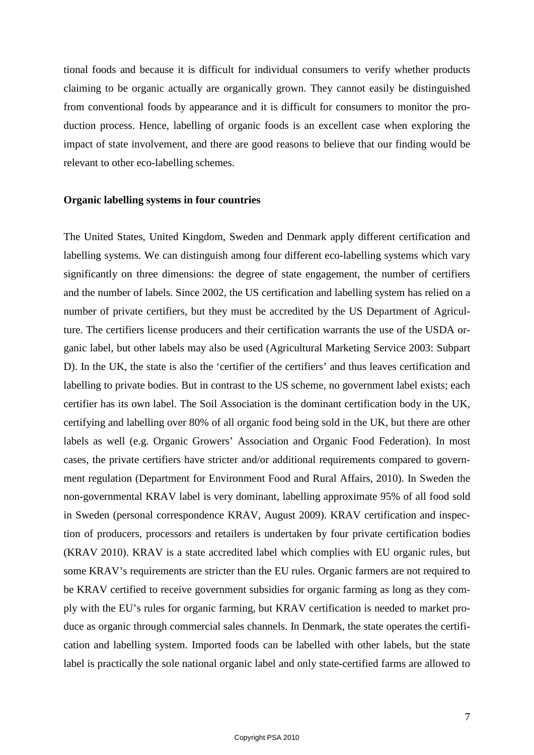tional foods and because it is difficult for individual consumers to verify whether products claiming to be organic actually are organically grown. They cannot easily be distinguished from conventional foods by appearance and it is difficult for consumers to monitor the production process. Hence, labelling of organic foods is an excellent case when exploring the impact of state involvement, and there are good reasons to believe that our finding would be relevant to other eco-labelling schemes.

#### **Organic labelling systems in four countries**

The United States, United Kingdom, Sweden and Denmark apply different certification and labelling systems. We can distinguish among four different eco-labelling systems which vary significantly on three dimensions: the degree of state engagement, the number of certifiers and the number of labels. Since 2002, the US certification and labelling system has relied on a number of private certifiers, but they must be accredited by the US Department of Agriculture. The certifiers license producers and their certification warrants the use of the USDA organic label, but other labels may also be used (Agricultural Marketing Service 2003: Subpart D). In the UK, the state is also the 'certifier of the certifiers' and thus leaves certification and labelling to private bodies. But in contrast to the US scheme, no government label exists; each certifier has its own label. The Soil Association is the dominant certification body in the UK, certifying and labelling over 80% of all organic food being sold in the UK, but there are other labels as well (e.g. Organic Growers' Association and Organic Food Federation). In most cases, the private certifiers have stricter and/or additional requirements compared to government regulation (Department for Environment Food and Rural Affairs, 2010). In Sweden the non-governmental KRAV label is very dominant, labelling approximate 95% of all food sold in Sweden (personal correspondence KRAV, August 2009). KRAV certification and inspection of producers, processors and retailers is undertaken by four private certification bodies (KRAV 2010). KRAV is a state accredited label which complies with EU organic rules, but some KRAV's requirements are stricter than the EU rules. Organic farmers are not required to be KRAV certified to receive government subsidies for organic farming as long as they comply with the EU's rules for organic farming, but KRAV certification is needed to market produce as organic through commercial sales channels. In Denmark, the state operates the certification and labelling system. Imported foods can be labelled with other labels, but the state label is practically the sole national organic label and only state-certified farms are allowed to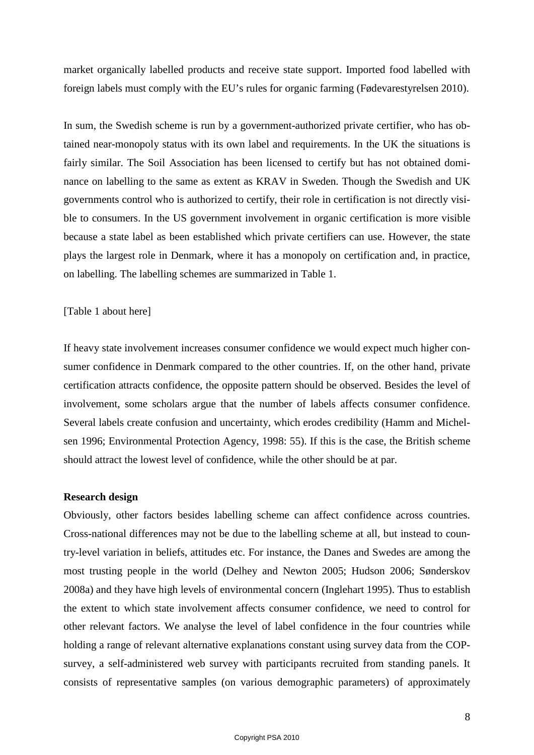market organically labelled products and receive state support. Imported food labelled with foreign labels must comply with the EU's rules for organic farming (Fødevarestyrelsen 2010).

In sum, the Swedish scheme is run by a government-authorized private certifier, who has obtained near-monopoly status with its own label and requirements. In the UK the situations is fairly similar. The Soil Association has been licensed to certify but has not obtained dominance on labelling to the same as extent as KRAV in Sweden. Though the Swedish and UK governments control who is authorized to certify, their role in certification is not directly visible to consumers. In the US government involvement in organic certification is more visible because a state label as been established which private certifiers can use. However, the state plays the largest role in Denmark, where it has a monopoly on certification and, in practice, on labelling. The labelling schemes are summarized in Table 1.

[Table 1 about here]

If heavy state involvement increases consumer confidence we would expect much higher consumer confidence in Denmark compared to the other countries. If, on the other hand, private certification attracts confidence, the opposite pattern should be observed. Besides the level of involvement, some scholars argue that the number of labels affects consumer confidence. Several labels create confusion and uncertainty, which erodes credibility (Hamm and Michelsen 1996; Environmental Protection Agency, 1998: 55). If this is the case, the British scheme should attract the lowest level of confidence, while the other should be at par.

#### **Research design**

Obviously, other factors besides labelling scheme can affect confidence across countries. Cross-national differences may not be due to the labelling scheme at all, but instead to country-level variation in beliefs, attitudes etc. For instance, the Danes and Swedes are among the most trusting people in the world (Delhey and Newton 2005; Hudson 2006; Sønderskov 2008a) and they have high levels of environmental concern (Inglehart 1995). Thus to establish the extent to which state involvement affects consumer confidence, we need to control for other relevant factors. We analyse the level of label confidence in the four countries while holding a range of relevant alternative explanations constant using survey data from the COPsurvey, a self-administered web survey with participants recruited from standing panels. It consists of representative samples (on various demographic parameters) of approximately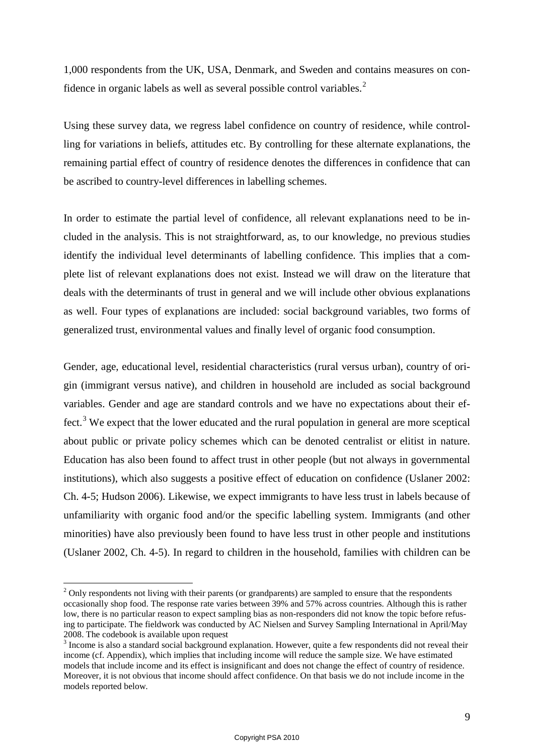1,000 respondents from the UK, USA, Denmark, and Sweden and contains measures on con-fidence in organic labels as well as several possible control variables.<sup>[2](#page-8-0)</sup>

Using these survey data, we regress label confidence on country of residence, while controlling for variations in beliefs, attitudes etc. By controlling for these alternate explanations, the remaining partial effect of country of residence denotes the differences in confidence that can be ascribed to country-level differences in labelling schemes.

In order to estimate the partial level of confidence, all relevant explanations need to be included in the analysis. This is not straightforward, as, to our knowledge, no previous studies identify the individual level determinants of labelling confidence. This implies that a complete list of relevant explanations does not exist. Instead we will draw on the literature that deals with the determinants of trust in general and we will include other obvious explanations as well. Four types of explanations are included: social background variables, two forms of generalized trust, environmental values and finally level of organic food consumption.

Gender, age, educational level, residential characteristics (rural versus urban), country of origin (immigrant versus native), and children in household are included as social background variables. Gender and age are standard controls and we have no expectations about their ef-fect.<sup>[3](#page-8-1)</sup> We expect that the lower educated and the rural population in general are more sceptical about public or private policy schemes which can be denoted centralist or elitist in nature. Education has also been found to affect trust in other people (but not always in governmental institutions), which also suggests a positive effect of education on confidence (Uslaner 2002: Ch. 4-5; Hudson 2006). Likewise, we expect immigrants to have less trust in labels because of unfamiliarity with organic food and/or the specific labelling system. Immigrants (and other minorities) have also previously been found to have less trust in other people and institutions (Uslaner 2002, Ch. 4-5). In regard to children in the household, families with children can be

<u>.</u>

<span id="page-8-0"></span> $2$  Only respondents not living with their parents (or grandparents) are sampled to ensure that the respondents occasionally shop food. The response rate varies between 39% and 57% across countries. Although this is rather low, there is no particular reason to expect sampling bias as non-responders did not know the topic before refusing to participate. The fieldwork was conducted by AC Nielsen and Survey Sampling International in April/May 2008. The codebook is available upon request

<span id="page-8-1"></span><sup>&</sup>lt;sup>3</sup> Income is also a standard social background explanation. However, quite a few respondents did not reveal their income (cf. Appendix), which implies that including income will reduce the sample size. We have estimated models that include income and its effect is insignificant and does not change the effect of country of residence. Moreover, it is not obvious that income should affect confidence. On that basis we do not include income in the models reported below.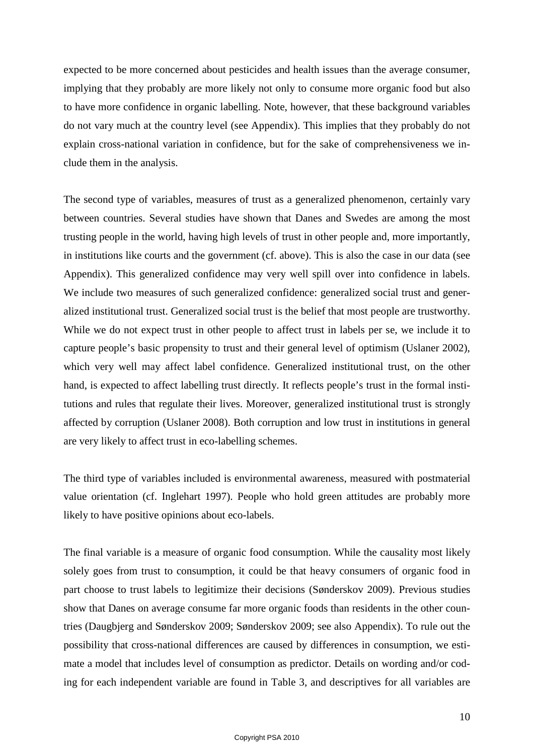expected to be more concerned about pesticides and health issues than the average consumer, implying that they probably are more likely not only to consume more organic food but also to have more confidence in organic labelling. Note, however, that these background variables do not vary much at the country level (see Appendix). This implies that they probably do not explain cross-national variation in confidence, but for the sake of comprehensiveness we include them in the analysis.

The second type of variables, measures of trust as a generalized phenomenon, certainly vary between countries. Several studies have shown that Danes and Swedes are among the most trusting people in the world, having high levels of trust in other people and, more importantly, in institutions like courts and the government (cf. above). This is also the case in our data (see Appendix). This generalized confidence may very well spill over into confidence in labels. We include two measures of such generalized confidence: generalized social trust and generalized institutional trust. Generalized social trust is the belief that most people are trustworthy. While we do not expect trust in other people to affect trust in labels per se, we include it to capture people's basic propensity to trust and their general level of optimism (Uslaner 2002), which very well may affect label confidence. Generalized institutional trust, on the other hand, is expected to affect labelling trust directly. It reflects people's trust in the formal institutions and rules that regulate their lives. Moreover, generalized institutional trust is strongly affected by corruption (Uslaner 2008). Both corruption and low trust in institutions in general are very likely to affect trust in eco-labelling schemes.

The third type of variables included is environmental awareness, measured with postmaterial value orientation (cf. Inglehart 1997). People who hold green attitudes are probably more likely to have positive opinions about eco-labels.

The final variable is a measure of organic food consumption. While the causality most likely solely goes from trust to consumption, it could be that heavy consumers of organic food in part choose to trust labels to legitimize their decisions (Sønderskov 2009). Previous studies show that Danes on average consume far more organic foods than residents in the other countries (Daugbjerg and Sønderskov 2009; Sønderskov 2009; see also Appendix). To rule out the possibility that cross-national differences are caused by differences in consumption, we estimate a model that includes level of consumption as predictor. Details on wording and/or coding for each independent variable are found in Table 3, and descriptives for all variables are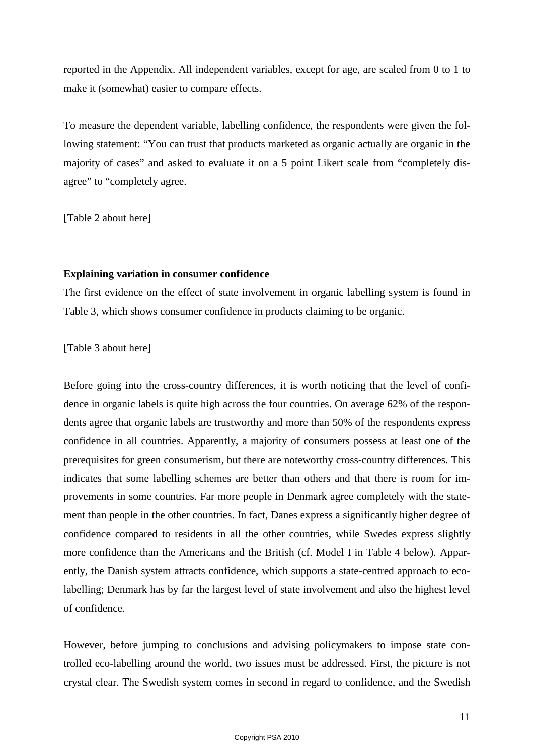reported in the Appendix. All independent variables, except for age, are scaled from 0 to 1 to make it (somewhat) easier to compare effects.

To measure the dependent variable, labelling confidence, the respondents were given the following statement: "You can trust that products marketed as organic actually are organic in the majority of cases" and asked to evaluate it on a 5 point Likert scale from "completely disagree" to "completely agree.

[Table 2 about here]

## **Explaining variation in consumer confidence**

The first evidence on the effect of state involvement in organic labelling system is found in Table 3, which shows consumer confidence in products claiming to be organic.

[Table 3 about here]

Before going into the cross-country differences, it is worth noticing that the level of confidence in organic labels is quite high across the four countries. On average 62% of the respondents agree that organic labels are trustworthy and more than 50% of the respondents express confidence in all countries. Apparently, a majority of consumers possess at least one of the prerequisites for green consumerism, but there are noteworthy cross-country differences. This indicates that some labelling schemes are better than others and that there is room for improvements in some countries. Far more people in Denmark agree completely with the statement than people in the other countries. In fact, Danes express a significantly higher degree of confidence compared to residents in all the other countries, while Swedes express slightly more confidence than the Americans and the British (cf. Model I in Table 4 below). Apparently, the Danish system attracts confidence, which supports a state-centred approach to ecolabelling; Denmark has by far the largest level of state involvement and also the highest level of confidence.

However, before jumping to conclusions and advising policymakers to impose state controlled eco-labelling around the world, two issues must be addressed. First, the picture is not crystal clear. The Swedish system comes in second in regard to confidence, and the Swedish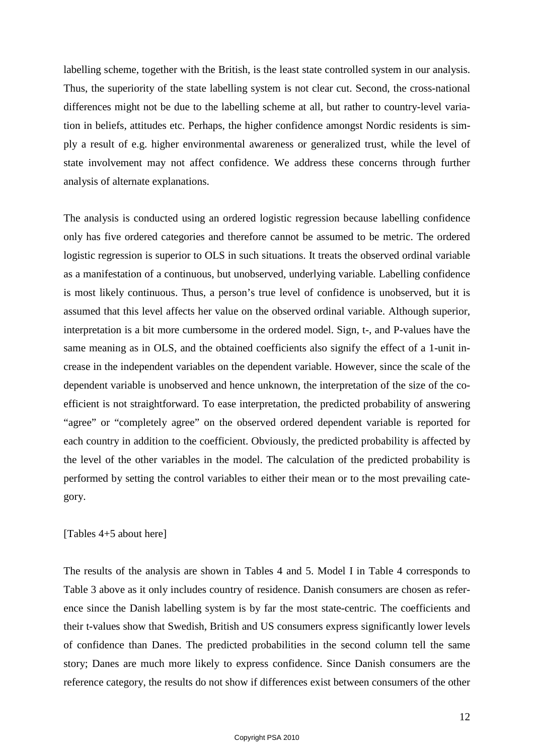labelling scheme, together with the British, is the least state controlled system in our analysis. Thus, the superiority of the state labelling system is not clear cut. Second, the cross-national differences might not be due to the labelling scheme at all, but rather to country-level variation in beliefs, attitudes etc. Perhaps, the higher confidence amongst Nordic residents is simply a result of e.g. higher environmental awareness or generalized trust, while the level of state involvement may not affect confidence. We address these concerns through further analysis of alternate explanations.

The analysis is conducted using an ordered logistic regression because labelling confidence only has five ordered categories and therefore cannot be assumed to be metric. The ordered logistic regression is superior to OLS in such situations. It treats the observed ordinal variable as a manifestation of a continuous, but unobserved, underlying variable. Labelling confidence is most likely continuous. Thus, a person's true level of confidence is unobserved, but it is assumed that this level affects her value on the observed ordinal variable. Although superior, interpretation is a bit more cumbersome in the ordered model. Sign, t-, and P-values have the same meaning as in OLS, and the obtained coefficients also signify the effect of a 1-unit increase in the independent variables on the dependent variable. However, since the scale of the dependent variable is unobserved and hence unknown, the interpretation of the size of the coefficient is not straightforward. To ease interpretation, the predicted probability of answering "agree" or "completely agree" on the observed ordered dependent variable is reported for each country in addition to the coefficient. Obviously, the predicted probability is affected by the level of the other variables in the model. The calculation of the predicted probability is performed by setting the control variables to either their mean or to the most prevailing category.

### [Tables 4+5 about here]

The results of the analysis are shown in Tables 4 and 5. Model I in Table 4 corresponds to Table 3 above as it only includes country of residence. Danish consumers are chosen as reference since the Danish labelling system is by far the most state-centric. The coefficients and their t-values show that Swedish, British and US consumers express significantly lower levels of confidence than Danes. The predicted probabilities in the second column tell the same story; Danes are much more likely to express confidence. Since Danish consumers are the reference category, the results do not show if differences exist between consumers of the other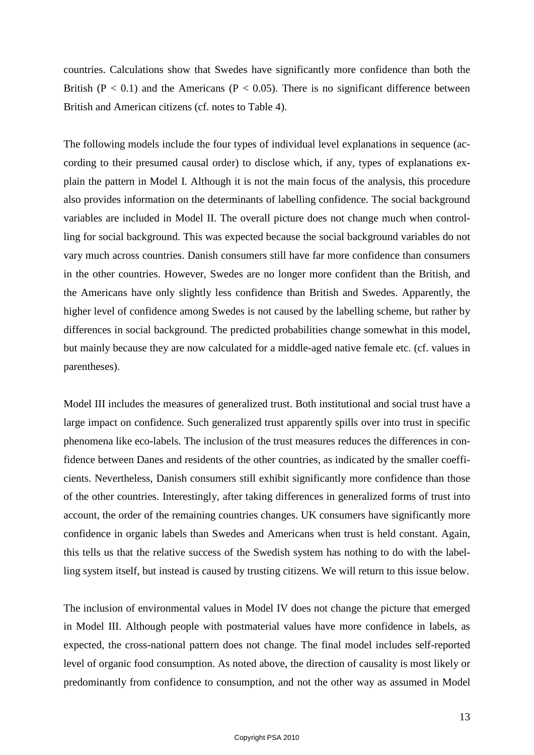countries. Calculations show that Swedes have significantly more confidence than both the British ( $P < 0.1$ ) and the Americans ( $P < 0.05$ ). There is no significant difference between British and American citizens (cf. notes to Table 4).

The following models include the four types of individual level explanations in sequence (according to their presumed causal order) to disclose which, if any, types of explanations explain the pattern in Model I. Although it is not the main focus of the analysis, this procedure also provides information on the determinants of labelling confidence. The social background variables are included in Model II. The overall picture does not change much when controlling for social background. This was expected because the social background variables do not vary much across countries. Danish consumers still have far more confidence than consumers in the other countries. However, Swedes are no longer more confident than the British, and the Americans have only slightly less confidence than British and Swedes. Apparently, the higher level of confidence among Swedes is not caused by the labelling scheme, but rather by differences in social background. The predicted probabilities change somewhat in this model, but mainly because they are now calculated for a middle-aged native female etc. (cf. values in parentheses).

Model III includes the measures of generalized trust. Both institutional and social trust have a large impact on confidence. Such generalized trust apparently spills over into trust in specific phenomena like eco-labels. The inclusion of the trust measures reduces the differences in confidence between Danes and residents of the other countries, as indicated by the smaller coefficients. Nevertheless, Danish consumers still exhibit significantly more confidence than those of the other countries. Interestingly, after taking differences in generalized forms of trust into account, the order of the remaining countries changes. UK consumers have significantly more confidence in organic labels than Swedes and Americans when trust is held constant. Again, this tells us that the relative success of the Swedish system has nothing to do with the labelling system itself, but instead is caused by trusting citizens. We will return to this issue below.

The inclusion of environmental values in Model IV does not change the picture that emerged in Model III. Although people with postmaterial values have more confidence in labels, as expected, the cross-national pattern does not change. The final model includes self-reported level of organic food consumption. As noted above, the direction of causality is most likely or predominantly from confidence to consumption, and not the other way as assumed in Model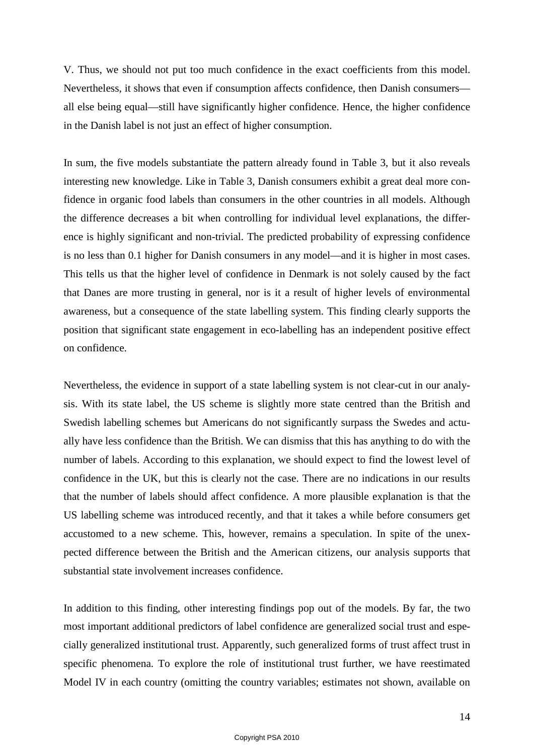V. Thus, we should not put too much confidence in the exact coefficients from this model. Nevertheless, it shows that even if consumption affects confidence, then Danish consumers all else being equal—still have significantly higher confidence. Hence, the higher confidence in the Danish label is not just an effect of higher consumption.

In sum, the five models substantiate the pattern already found in Table 3, but it also reveals interesting new knowledge. Like in Table 3, Danish consumers exhibit a great deal more confidence in organic food labels than consumers in the other countries in all models. Although the difference decreases a bit when controlling for individual level explanations, the difference is highly significant and non-trivial. The predicted probability of expressing confidence is no less than 0.1 higher for Danish consumers in any model—and it is higher in most cases. This tells us that the higher level of confidence in Denmark is not solely caused by the fact that Danes are more trusting in general, nor is it a result of higher levels of environmental awareness, but a consequence of the state labelling system. This finding clearly supports the position that significant state engagement in eco-labelling has an independent positive effect on confidence.

Nevertheless, the evidence in support of a state labelling system is not clear-cut in our analysis. With its state label, the US scheme is slightly more state centred than the British and Swedish labelling schemes but Americans do not significantly surpass the Swedes and actually have less confidence than the British. We can dismiss that this has anything to do with the number of labels. According to this explanation, we should expect to find the lowest level of confidence in the UK, but this is clearly not the case. There are no indications in our results that the number of labels should affect confidence. A more plausible explanation is that the US labelling scheme was introduced recently, and that it takes a while before consumers get accustomed to a new scheme. This, however, remains a speculation. In spite of the unexpected difference between the British and the American citizens, our analysis supports that substantial state involvement increases confidence.

In addition to this finding, other interesting findings pop out of the models. By far, the two most important additional predictors of label confidence are generalized social trust and especially generalized institutional trust. Apparently, such generalized forms of trust affect trust in specific phenomena. To explore the role of institutional trust further, we have reestimated Model IV in each country (omitting the country variables; estimates not shown, available on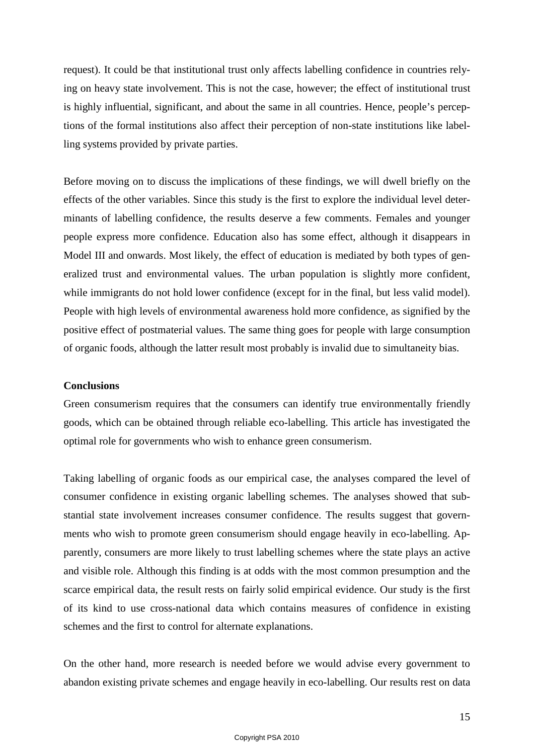request). It could be that institutional trust only affects labelling confidence in countries relying on heavy state involvement. This is not the case, however; the effect of institutional trust is highly influential, significant, and about the same in all countries. Hence, people's perceptions of the formal institutions also affect their perception of non-state institutions like labelling systems provided by private parties.

Before moving on to discuss the implications of these findings, we will dwell briefly on the effects of the other variables. Since this study is the first to explore the individual level determinants of labelling confidence, the results deserve a few comments. Females and younger people express more confidence. Education also has some effect, although it disappears in Model III and onwards. Most likely, the effect of education is mediated by both types of generalized trust and environmental values. The urban population is slightly more confident, while immigrants do not hold lower confidence (except for in the final, but less valid model). People with high levels of environmental awareness hold more confidence, as signified by the positive effect of postmaterial values. The same thing goes for people with large consumption of organic foods, although the latter result most probably is invalid due to simultaneity bias.

#### **Conclusions**

Green consumerism requires that the consumers can identify true environmentally friendly goods, which can be obtained through reliable eco-labelling. This article has investigated the optimal role for governments who wish to enhance green consumerism.

Taking labelling of organic foods as our empirical case, the analyses compared the level of consumer confidence in existing organic labelling schemes. The analyses showed that substantial state involvement increases consumer confidence. The results suggest that governments who wish to promote green consumerism should engage heavily in eco-labelling. Apparently, consumers are more likely to trust labelling schemes where the state plays an active and visible role. Although this finding is at odds with the most common presumption and the scarce empirical data, the result rests on fairly solid empirical evidence. Our study is the first of its kind to use cross-national data which contains measures of confidence in existing schemes and the first to control for alternate explanations.

On the other hand, more research is needed before we would advise every government to abandon existing private schemes and engage heavily in eco-labelling. Our results rest on data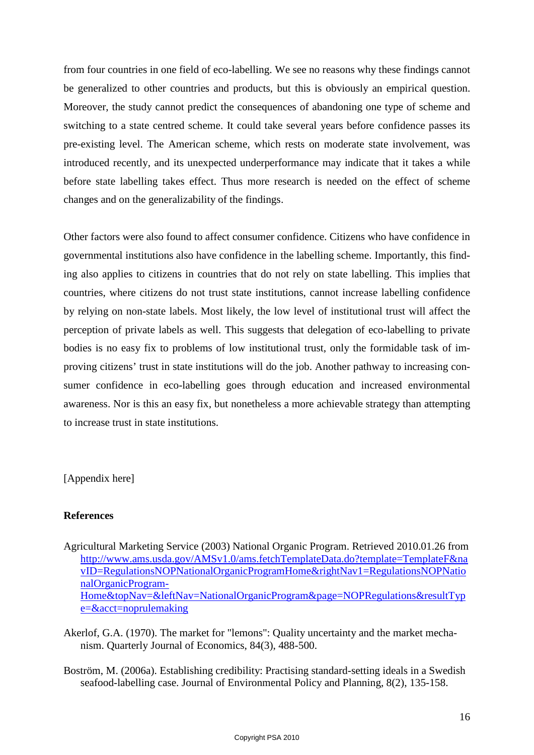from four countries in one field of eco-labelling. We see no reasons why these findings cannot be generalized to other countries and products, but this is obviously an empirical question. Moreover, the study cannot predict the consequences of abandoning one type of scheme and switching to a state centred scheme. It could take several years before confidence passes its pre-existing level. The American scheme, which rests on moderate state involvement, was introduced recently, and its unexpected underperformance may indicate that it takes a while before state labelling takes effect. Thus more research is needed on the effect of scheme changes and on the generalizability of the findings.

Other factors were also found to affect consumer confidence. Citizens who have confidence in governmental institutions also have confidence in the labelling scheme. Importantly, this finding also applies to citizens in countries that do not rely on state labelling. This implies that countries, where citizens do not trust state institutions, cannot increase labelling confidence by relying on non-state labels. Most likely, the low level of institutional trust will affect the perception of private labels as well. This suggests that delegation of eco-labelling to private bodies is no easy fix to problems of low institutional trust, only the formidable task of improving citizens' trust in state institutions will do the job. Another pathway to increasing consumer confidence in eco-labelling goes through education and increased environmental awareness. Nor is this an easy fix, but nonetheless a more achievable strategy than attempting to increase trust in state institutions.

[Appendix here]

## **References**

Agricultural Marketing Service (2003) National Organic Program. Retrieved 2010.01.26 from [http://www.ams.usda.gov/AMSv1.0/ams.fetchTemplateData.do?template=TemplateF&na](http://www.ams.usda.gov/AMSv1.0/ams.fetchTemplateData.do?template=TemplateF&navID=RegulationsNOPNationalOrganicProgramHome&rightNav1=RegulationsNOPNationalOrganicProgramHome&topNav=&leftNav=NationalOrganicProgram&page=NOPRegulations&resultType=&acct=noprulemaking) [vID=RegulationsNOPNationalOrganicProgramHome&rightNav1=RegulationsNOPNatio](http://www.ams.usda.gov/AMSv1.0/ams.fetchTemplateData.do?template=TemplateF&navID=RegulationsNOPNationalOrganicProgramHome&rightNav1=RegulationsNOPNationalOrganicProgramHome&topNav=&leftNav=NationalOrganicProgram&page=NOPRegulations&resultType=&acct=noprulemaking) [nalOrganicProgram-](http://www.ams.usda.gov/AMSv1.0/ams.fetchTemplateData.do?template=TemplateF&navID=RegulationsNOPNationalOrganicProgramHome&rightNav1=RegulationsNOPNationalOrganicProgramHome&topNav=&leftNav=NationalOrganicProgram&page=NOPRegulations&resultType=&acct=noprulemaking)[Home&topNav=&leftNav=NationalOrganicProgram&page=NOPRegulations&resultTyp](http://www.ams.usda.gov/AMSv1.0/ams.fetchTemplateData.do?template=TemplateF&navID=RegulationsNOPNationalOrganicProgramHome&rightNav1=RegulationsNOPNationalOrganicProgramHome&topNav=&leftNav=NationalOrganicProgram&page=NOPRegulations&resultType=&acct=noprulemaking) [e=&acct=noprulemaking](http://www.ams.usda.gov/AMSv1.0/ams.fetchTemplateData.do?template=TemplateF&navID=RegulationsNOPNationalOrganicProgramHome&rightNav1=RegulationsNOPNationalOrganicProgramHome&topNav=&leftNav=NationalOrganicProgram&page=NOPRegulations&resultType=&acct=noprulemaking)

- Akerlof, G.A. (1970). The market for "lemons": Quality uncertainty and the market mechanism. Quarterly Journal of Economics, 84(3), 488-500.
- Boström, M. (2006a). Establishing credibility: Practising standard-setting ideals in a Swedish seafood-labelling case. Journal of Environmental Policy and Planning, 8(2), 135-158.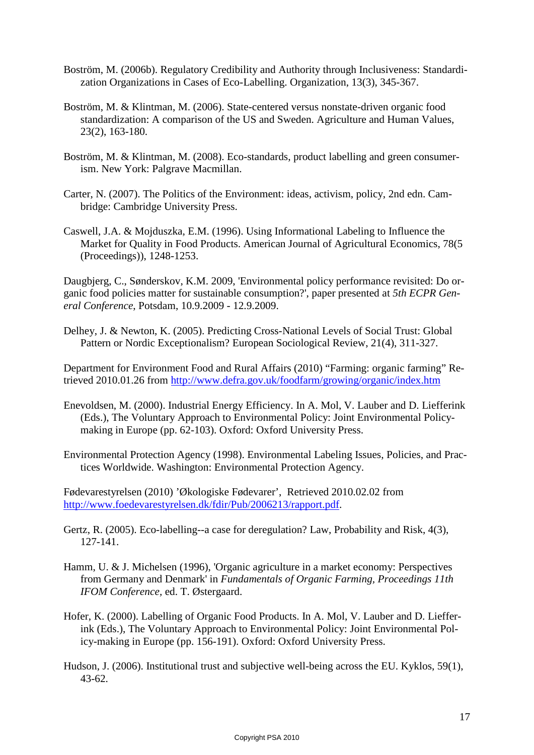- Boström, M. (2006b). Regulatory Credibility and Authority through Inclusiveness: Standardization Organizations in Cases of Eco-Labelling. Organization, 13(3), 345-367.
- Boström, M. & Klintman, M. (2006). State-centered versus nonstate-driven organic food standardization: A comparison of the US and Sweden. Agriculture and Human Values, 23(2), 163-180.
- Boström, M. & Klintman, M. (2008). Eco-standards, product labelling and green consumerism. New York: Palgrave Macmillan.
- Carter, N. (2007). The Politics of the Environment: ideas, activism, policy, 2nd edn. Cambridge: Cambridge University Press.
- Caswell, J.A. & Mojduszka, E.M. (1996). Using Informational Labeling to Influence the Market for Quality in Food Products. American Journal of Agricultural Economics, 78(5 (Proceedings)), 1248-1253.

Daugbjerg, C., Sønderskov, K.M. 2009, 'Environmental policy performance revisited: Do organic food policies matter for sustainable consumption?', paper presented at *5th ECPR General Conference*, Potsdam, 10.9.2009 - 12.9.2009.

Delhey, J. & Newton, K. (2005). Predicting Cross-National Levels of Social Trust: Global Pattern or Nordic Exceptionalism? European Sociological Review, 21(4), 311-327.

Department for Environment Food and Rural Affairs (2010) "Farming: organic farming" Retrieved 2010.01.26 from<http://www.defra.gov.uk/foodfarm/growing/organic/index.htm>

- Enevoldsen, M. (2000). Industrial Energy Efficiency. In A. Mol, V. Lauber and D. Liefferink (Eds.), The Voluntary Approach to Environmental Policy: Joint Environmental Policymaking in Europe (pp. 62-103). Oxford: Oxford University Press.
- Environmental Protection Agency (1998). Environmental Labeling Issues, Policies, and Practices Worldwide. Washington: Environmental Protection Agency.

Fødevarestyrelsen (2010) 'Økologiske Fødevarer', Retrieved 2010.02.02 from [http://www.foedevarestyrelsen.dk/fdir/Pub/2006213/rapport.pdf.](http://www.foedevarestyrelsen.dk/fdir/Pub/2006213/rapport.pdf)

- Gertz, R. (2005). Eco-labelling--a case for deregulation? Law, Probability and Risk, 4(3), 127-141.
- Hamm, U. & J. Michelsen (1996), 'Organic agriculture in a market economy: Perspectives from Germany and Denmark' in *Fundamentals of Organic Farming, Proceedings 11th IFOM Conference,* ed. T. Østergaard.
- Hofer, K. (2000). Labelling of Organic Food Products. In A. Mol, V. Lauber and D. Liefferink (Eds.), The Voluntary Approach to Environmental Policy: Joint Environmental Policy-making in Europe (pp. 156-191). Oxford: Oxford University Press.
- Hudson, J. (2006). Institutional trust and subjective well-being across the EU. Kyklos, 59(1), 43-62.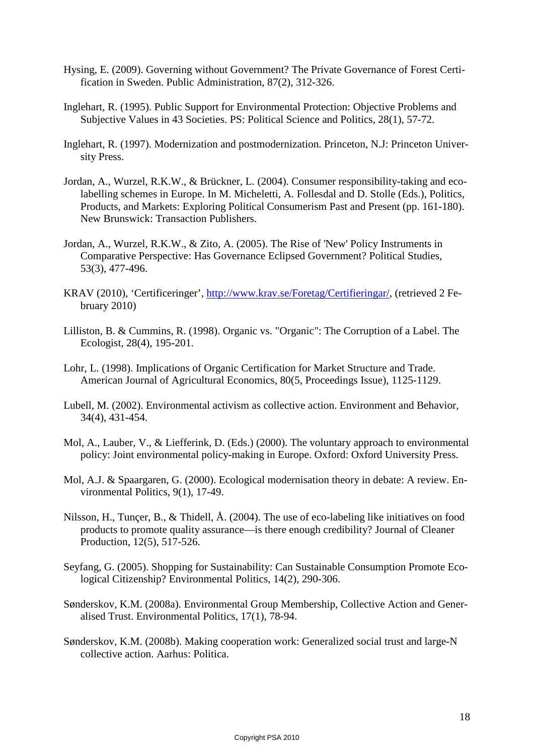- Hysing, E. (2009). Governing without Government? The Private Governance of Forest Certification in Sweden. Public Administration, 87(2), 312-326.
- Inglehart, R. (1995). Public Support for Environmental Protection: Objective Problems and Subjective Values in 43 Societies. PS: Political Science and Politics, 28(1), 57-72.
- Inglehart, R. (1997). Modernization and postmodernization. Princeton, N.J: Princeton University Press.
- Jordan, A., Wurzel, R.K.W., & Brückner, L. (2004). Consumer responsibility-taking and ecolabelling schemes in Europe. In M. Micheletti, A. Follesdal and D. Stolle (Eds.), Politics, Products, and Markets: Exploring Political Consumerism Past and Present (pp. 161-180). New Brunswick: Transaction Publishers.
- Jordan, A., Wurzel, R.K.W., & Zito, A. (2005). The Rise of 'New' Policy Instruments in Comparative Perspective: Has Governance Eclipsed Government? Political Studies, 53(3), 477-496.
- KRAV (2010), 'Certificeringer', [http://www.krav.se/Foretag/Certifieringar/,](http://www.krav.se/Foretag/Certifieringar/) (retrieved 2 February 2010)
- Lilliston, B. & Cummins, R. (1998). Organic vs. "Organic": The Corruption of a Label. The Ecologist, 28(4), 195-201.
- Lohr, L. (1998). Implications of Organic Certification for Market Structure and Trade. American Journal of Agricultural Economics, 80(5, Proceedings Issue), 1125-1129.
- Lubell, M. (2002). Environmental activism as collective action. Environment and Behavior, 34(4), 431-454.
- Mol, A., Lauber, V., & Liefferink, D. (Eds.) (2000). The voluntary approach to environmental policy: Joint environmental policy-making in Europe. Oxford: Oxford University Press.
- Mol, A.J. & Spaargaren, G. (2000). Ecological modernisation theory in debate: A review. Environmental Politics, 9(1), 17-49.
- Nilsson, H., Tunçer, B., & Thidell, Å. (2004). The use of eco-labeling like initiatives on food products to promote quality assurance—is there enough credibility? Journal of Cleaner Production, 12(5), 517-526.
- Seyfang, G. (2005). Shopping for Sustainability: Can Sustainable Consumption Promote Ecological Citizenship? Environmental Politics, 14(2), 290-306.
- Sønderskov, K.M. (2008a). Environmental Group Membership, Collective Action and Generalised Trust. Environmental Politics, 17(1), 78-94.
- Sønderskov, K.M. (2008b). Making cooperation work: Generalized social trust and large-N collective action. Aarhus: Politica.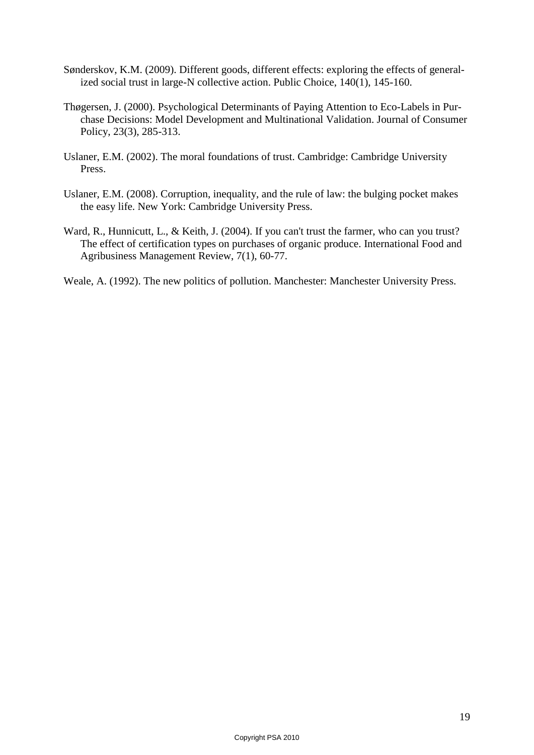- Sønderskov, K.M. (2009). Different goods, different effects: exploring the effects of generalized social trust in large-N collective action. Public Choice, 140(1), 145-160.
- Thøgersen, J. (2000). Psychological Determinants of Paying Attention to Eco-Labels in Purchase Decisions: Model Development and Multinational Validation. Journal of Consumer Policy, 23(3), 285-313.
- Uslaner, E.M. (2002). The moral foundations of trust. Cambridge: Cambridge University Press.
- Uslaner, E.M. (2008). Corruption, inequality, and the rule of law: the bulging pocket makes the easy life. New York: Cambridge University Press.
- Ward, R., Hunnicutt, L., & Keith, J. (2004). If you can't trust the farmer, who can you trust? The effect of certification types on purchases of organic produce. International Food and Agribusiness Management Review, 7(1), 60-77.

Weale, A. (1992). The new politics of pollution. Manchester: Manchester University Press.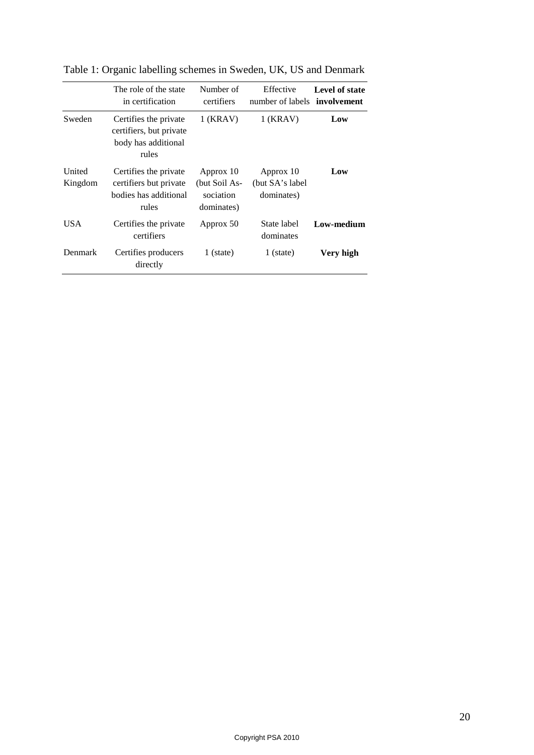|                   | The role of the state<br>in certification                                         | Number of<br>certifiers                               | Effective<br>number of labels <b>involvement</b> | Level of state |
|-------------------|-----------------------------------------------------------------------------------|-------------------------------------------------------|--------------------------------------------------|----------------|
| Sweden            | Certifies the private<br>certifiers, but private<br>body has additional<br>rules  | $1$ (KRAV)                                            | $1$ (KRAV)                                       | Low            |
| United<br>Kingdom | Certifies the private<br>certifiers but private<br>bodies has additional<br>rules | Approx 10<br>(but Soil As-<br>sociation<br>dominates) | Approx 10<br>(but SA's label)<br>dominates)      | Low            |
| <b>USA</b>        | Certifies the private<br>certifiers                                               | Approx 50                                             | State label<br>dominates                         | Low-medium     |
| Denmark           | Certifies producers<br>directly                                                   | $1$ (state)                                           | $1$ (state)                                      | Very high      |

Table 1: Organic labelling schemes in Sweden, UK, US and Denmark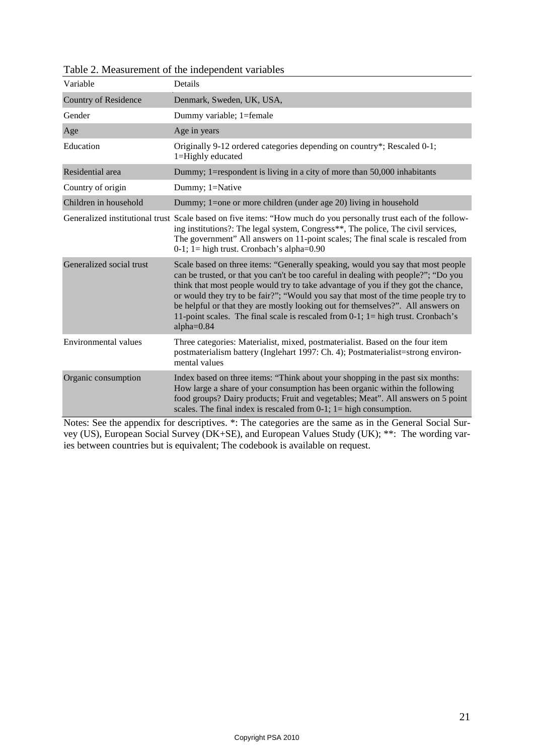| Variable                    | Details                                                                                                                                                                                                                                                                                                                                                                                                                                                                                                                                      |
|-----------------------------|----------------------------------------------------------------------------------------------------------------------------------------------------------------------------------------------------------------------------------------------------------------------------------------------------------------------------------------------------------------------------------------------------------------------------------------------------------------------------------------------------------------------------------------------|
| <b>Country of Residence</b> | Denmark, Sweden, UK, USA,                                                                                                                                                                                                                                                                                                                                                                                                                                                                                                                    |
| Gender                      | Dummy variable; 1=female                                                                                                                                                                                                                                                                                                                                                                                                                                                                                                                     |
| Age                         | Age in years                                                                                                                                                                                                                                                                                                                                                                                                                                                                                                                                 |
| Education                   | Originally 9-12 ordered categories depending on country*; Rescaled 0-1;<br>1=Highly educated                                                                                                                                                                                                                                                                                                                                                                                                                                                 |
| Residential area            | Dummy; 1=respondent is living in a city of more than 50,000 inhabitants                                                                                                                                                                                                                                                                                                                                                                                                                                                                      |
| Country of origin           | Dummy; 1=Native                                                                                                                                                                                                                                                                                                                                                                                                                                                                                                                              |
| Children in household       | Dummy; 1=one or more children (under age 20) living in household                                                                                                                                                                                                                                                                                                                                                                                                                                                                             |
|                             | Generalized institutional trust Scale based on five items: "How much do you personally trust each of the follow-<br>ing institutions?: The legal system, Congress**, The police, The civil services,<br>The government" All answers on 11-point scales; The final scale is rescaled from<br>0-1; 1= high trust. Cronbach's alpha= $0.90$                                                                                                                                                                                                     |
| Generalized social trust    | Scale based on three items: "Generally speaking, would you say that most people<br>can be trusted, or that you can't be too careful in dealing with people?"; "Do you<br>think that most people would try to take advantage of you if they got the chance,<br>or would they try to be fair?"; "Would you say that most of the time people try to<br>be helpful or that they are mostly looking out for themselves?". All answers on<br>11-point scales. The final scale is rescaled from $0-1$ ; $1=$ high trust. Cronbach's<br>$alpha=0.84$ |
| <b>Environmental values</b> | Three categories: Materialist, mixed, postmaterialist. Based on the four item<br>postmaterialism battery (Inglehart 1997: Ch. 4); Postmaterialist=strong environ-<br>mental values                                                                                                                                                                                                                                                                                                                                                           |
| Organic consumption         | Index based on three items: "Think about your shopping in the past six months:<br>How large a share of your consumption has been organic within the following<br>food groups? Dairy products; Fruit and vegetables; Meat". All answers on 5 point<br>scales. The final index is rescaled from $0-1$ ; $1=$ high consumption.                                                                                                                                                                                                                 |

Table 2. Measurement of the independent variables

Notes: See the appendix for descriptives. \*: The categories are the same as in the General Social Survey (US), European Social Survey (DK+SE), and European Values Study (UK); \*\*: The wording varies between countries but is equivalent; The codebook is available on request.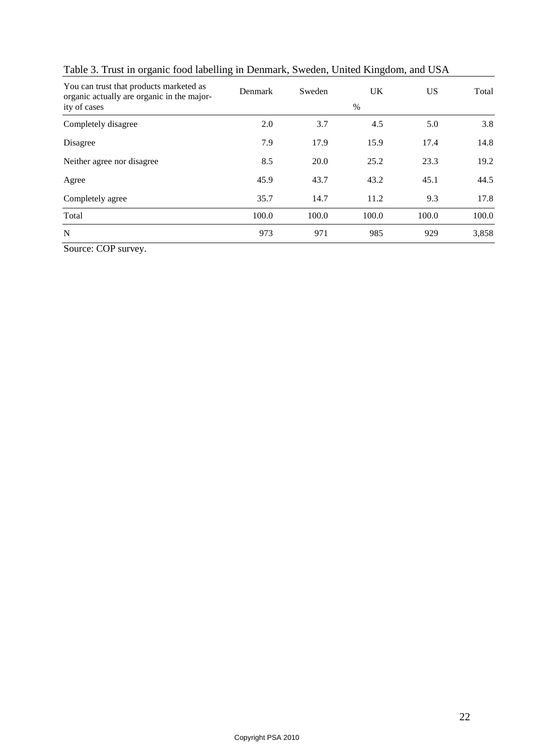| You can trust that products marketed as<br>organic actually are organic in the major- | Denmark | Sweden | <b>UK</b> | US    | Total |  |
|---------------------------------------------------------------------------------------|---------|--------|-----------|-------|-------|--|
| ity of cases                                                                          |         |        | $\%$      |       |       |  |
| Completely disagree                                                                   | 2.0     | 3.7    | 4.5       | 5.0   | 3.8   |  |
| Disagree                                                                              | 7.9     | 17.9   | 15.9      | 17.4  | 14.8  |  |
| Neither agree nor disagree.                                                           | 8.5     | 20.0   | 25.2      | 23.3  | 19.2  |  |
| Agree                                                                                 | 45.9    | 43.7   | 43.2      | 45.1  | 44.5  |  |
| Completely agree                                                                      | 35.7    | 14.7   | 11.2      | 9.3   | 17.8  |  |
| Total                                                                                 | 100.0   | 100.0  | 100.0     | 100.0 | 100.0 |  |
| N                                                                                     | 973     | 971    | 985       | 929   | 3,858 |  |



Source: COP survey.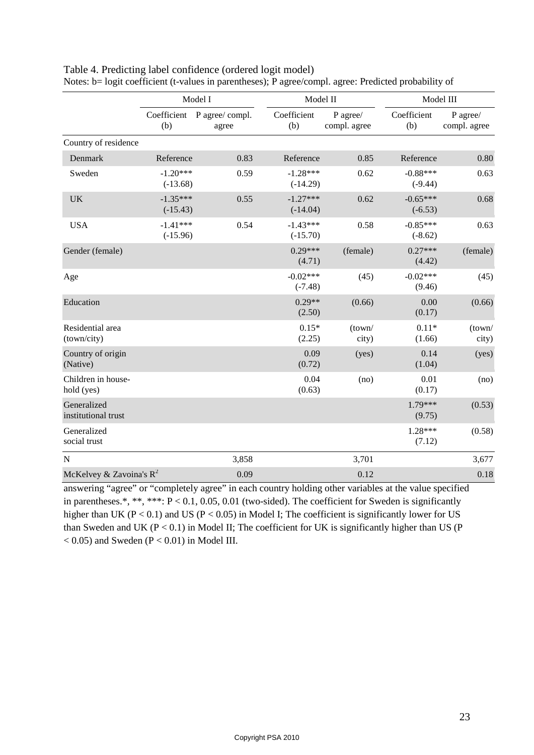|                                    | Model I                  |                                     |                          | Model II                 |                         | Model III                |  |
|------------------------------------|--------------------------|-------------------------------------|--------------------------|--------------------------|-------------------------|--------------------------|--|
|                                    | (b)                      | Coefficient P agree/compl.<br>agree | Coefficient<br>(b)       | P agree/<br>compl. agree | Coefficient<br>(b)      | P agree/<br>compl. agree |  |
| Country of residence               |                          |                                     |                          |                          |                         |                          |  |
| Denmark                            | Reference                | 0.83                                | Reference                | 0.85                     | Reference               | 0.80                     |  |
| Sweden                             | $-1.20***$<br>$(-13.68)$ | 0.59                                | $-1.28***$<br>$(-14.29)$ | 0.62                     | $-0.88***$<br>$(-9.44)$ | 0.63                     |  |
| $\ensuremath{\mathrm{UK}}\xspace$  | $-1.35***$<br>$(-15.43)$ | 0.55                                | $-1.27***$<br>$(-14.04)$ | 0.62                     | $-0.65***$<br>$(-6.53)$ | 0.68                     |  |
| <b>USA</b>                         | $-1.41***$<br>$(-15.96)$ | 0.54                                | $-1.43***$<br>$(-15.70)$ | 0.58                     | $-0.85***$<br>$(-8.62)$ | 0.63                     |  |
| Gender (female)                    |                          |                                     | $0.29***$<br>(4.71)      | (female)                 | $0.27***$<br>(4.42)     | (female)                 |  |
| Age                                |                          |                                     | $-0.02***$<br>$(-7.48)$  | (45)                     | $-0.02***$<br>(9.46)    | (45)                     |  |
| Education                          |                          |                                     | $0.29**$<br>(2.50)       | (0.66)                   | 0.00<br>(0.17)          | (0.66)                   |  |
| Residential area<br>(town/city)    |                          |                                     | $0.15*$<br>(2.25)        | (town/<br>city)          | $0.11*$<br>(1.66)       | (town/<br>city)          |  |
| Country of origin<br>(Native)      |                          |                                     | 0.09<br>(0.72)           | (yes)                    | 0.14<br>(1.04)          | (yes)                    |  |
| Children in house-<br>hold (yes)   |                          |                                     | 0.04<br>(0.63)           | (no)                     | 0.01<br>(0.17)          | (no)                     |  |
| Generalized<br>institutional trust |                          |                                     |                          |                          | $1.79***$<br>(9.75)     | (0.53)                   |  |
| Generalized<br>social trust        |                          |                                     |                          |                          | $1.28***$<br>(7.12)     | (0.58)                   |  |
| $\mathbf N$                        |                          | 3,858                               |                          | 3,701                    |                         | 3,677                    |  |
| McKelvey & Zavoina's $R^2$         |                          | 0.09                                |                          | 0.12                     |                         | 0.18                     |  |

| Table 4. Predicting label confidence (ordered logit model)                                            |  |  |
|-------------------------------------------------------------------------------------------------------|--|--|
| Notes: b= logit coefficient (t-values in parentheses); P agree/compl. agree: Predicted probability of |  |  |

answering "agree" or "completely agree" in each country holding other variables at the value specified in parentheses.\*, \*\*\*:  $P < 0.1$ , 0.05, 0.01 (two-sided). The coefficient for Sweden is significantly higher than UK ( $P < 0.1$ ) and US ( $P < 0.05$ ) in Model I; The coefficient is significantly lower for US than Sweden and UK ( $P < 0.1$ ) in Model II; The coefficient for UK is significantly higher than US ( $P$ )  $<$  0.05) and Sweden (P  $<$  0.01) in Model III.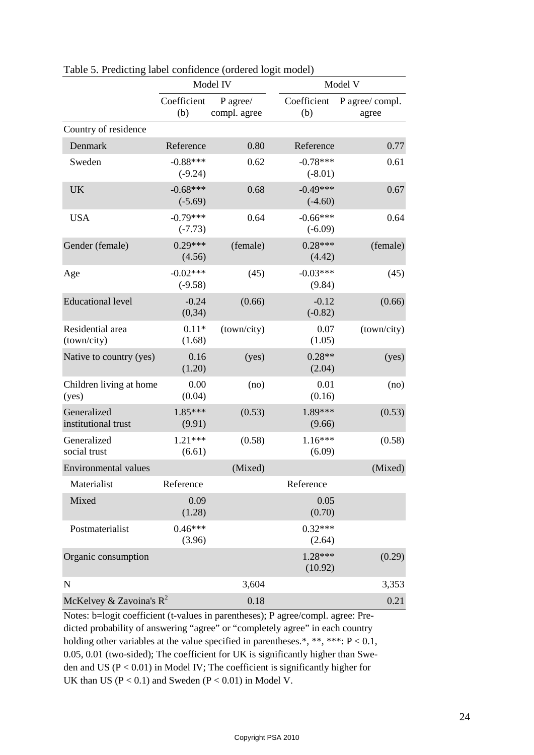|                                    |                         | Model IV                 | Model V                 |                         |  |  |
|------------------------------------|-------------------------|--------------------------|-------------------------|-------------------------|--|--|
|                                    | Coefficient<br>(b)      | P agree/<br>compl. agree | Coefficient<br>(b)      | P agree/compl.<br>agree |  |  |
| Country of residence               |                         |                          |                         |                         |  |  |
| Denmark                            | Reference               | 0.80                     | Reference               | 0.77                    |  |  |
| Sweden                             | $-0.88***$<br>$(-9.24)$ | 0.62                     | $-0.78***$<br>$(-8.01)$ | 0.61                    |  |  |
| <b>UK</b>                          | $-0.68***$<br>$(-5.69)$ | 0.68                     | $-0.49***$<br>$(-4.60)$ | 0.67                    |  |  |
| <b>USA</b>                         | $-0.79***$<br>$(-7.73)$ | 0.64                     | $-0.66***$<br>$(-6.09)$ | 0.64                    |  |  |
| Gender (female)                    | $0.29***$<br>(4.56)     | (female)                 | $0.28***$<br>(4.42)     | (female)                |  |  |
| Age                                | $-0.02***$<br>$(-9.58)$ | (45)                     | $-0.03***$<br>(9.84)    | (45)                    |  |  |
| <b>Educational level</b>           | $-0.24$<br>(0, 34)      | (0.66)                   | $-0.12$<br>$(-0.82)$    | (0.66)                  |  |  |
| Residential area<br>(town/city)    | $0.11*$<br>(1.68)       | (town/city)              | 0.07<br>(1.05)          | (town/city)             |  |  |
| Native to country (yes)            | 0.16<br>(1.20)          | (yes)                    | $0.28**$<br>(2.04)      | (yes)                   |  |  |
| Children living at home<br>(yes)   | 0.00<br>(0.04)          | (no)                     | 0.01<br>(0.16)          | (no)                    |  |  |
| Generalized<br>institutional trust | $1.85***$<br>(9.91)     | (0.53)                   | 1.89***<br>(9.66)       | (0.53)                  |  |  |
| Generalized<br>social trust        | $1.21***$<br>(6.61)     | (0.58)                   | $1.16***$<br>(6.09)     | (0.58)                  |  |  |
| Environmental values               |                         | (Mixed)                  |                         | (Mixed)                 |  |  |
| Materialist                        | Reference               |                          | Reference               |                         |  |  |
| Mixed                              | 0.09<br>(1.28)          |                          | 0.05<br>(0.70)          |                         |  |  |
| Postmaterialist                    | $0.46***$<br>(3.96)     |                          | $0.32***$<br>(2.64)     |                         |  |  |
| Organic consumption                |                         |                          | $1.28***$<br>(10.92)    | (0.29)                  |  |  |
| ${\bf N}$                          |                         | 3,604                    |                         | 3,353                   |  |  |
| McKelvey & Zavoina's $R^2$         |                         | 0.18                     |                         | 0.21                    |  |  |

Table 5. Predicting label confidence (ordered logit model)

Notes: b=logit coefficient (t-values in parentheses); P agree/compl. agree: Predicted probability of answering "agree" or "completely agree" in each country holding other variables at the value specified in parentheses.\*, \*\*, \*\*\*:  $P < 0.1$ , 0.05, 0.01 (two-sided); The coefficient for UK is significantly higher than Sweden and US (P < 0.01) in Model IV; The coefficient is significantly higher for UK than US  $(P < 0.1)$  and Sweden  $(P < 0.01)$  in Model V.